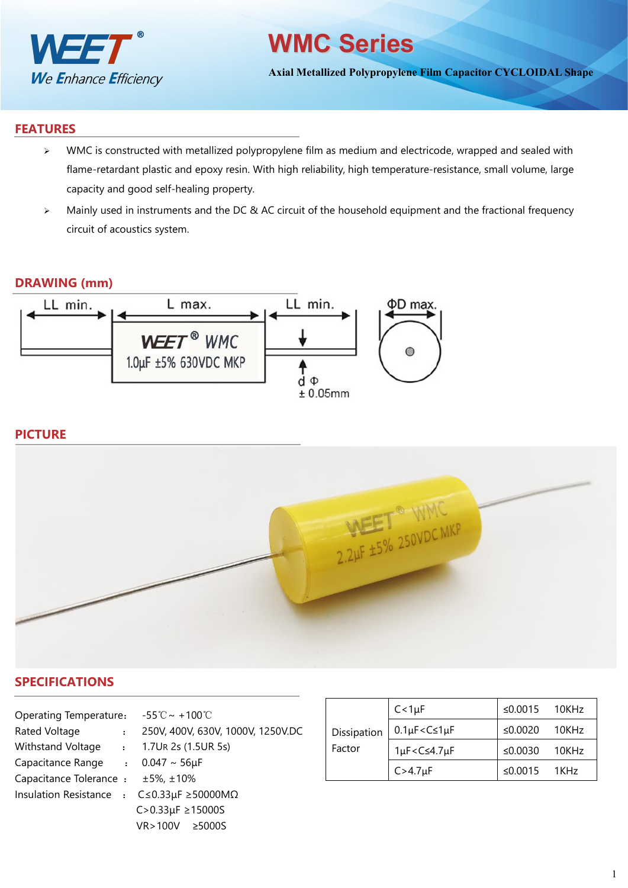

# **WMC Series**

**Axial Metallized Polypropylene Film Capacitor CYCLOIDAL Shape**

#### **FEATURES**

- $\triangleright$  WMC is constructed with metallized polypropylene film as medium and electricode, wrapped and sealed with flame-retardant plastic and epoxy resin. With high reliability, high temperature-resistance, small volume, large capacity and good self-healing property.
- > Mainly used in instruments and the DC & AC circuit of the household equipment and the fractional frequency circuit of acoustics system.

#### **DRAWING (mm)**



## **PICTURE**



### **SPECIFICATIONS**

| Operating Temperature: $-55^{\circ}\text{C} \sim +100^{\circ}\text{C}$ |  |                                                              |             | $C < 1 \mu$              |
|------------------------------------------------------------------------|--|--------------------------------------------------------------|-------------|--------------------------|
| Rated Voltage                                                          |  | 250V, 400V, 630V, 1000V, 1250V.DC                            | Dissipation | $0.1 \mu F$              |
| Withstand Voltage<br>$\sim 100$                                        |  | 1.7UR 2s (1.5UR 5s)                                          | Factor      | $1\mu$ F <c< td=""></c<> |
| Capacitance Range : $0.047 \sim 56 \mu F$                              |  |                                                              |             |                          |
| Capacitance Tolerance : ±5%, ±10%                                      |  |                                                              |             | C > 4.7 <sub>k</sub>     |
|                                                                        |  | Insulation Resistance : $C \le 0.33 \mu F \ge 50000 M\Omega$ |             |                          |
|                                                                        |  | $C > 0.33 \mu F \ge 15000S$                                  |             |                          |
|                                                                        |  | <b>VR</b> >100V<br>$\geq$ 5000S                              |             |                          |

|             | $C < 1 \mu F$                                                 | ≤0.0015 $10$ KHz   |       |
|-------------|---------------------------------------------------------------|--------------------|-------|
| Dissipation | $0.1\mu$ F< $C \leq 1\mu$ F                                   | ≤0.0020            | 10KHz |
| Factor      | 1µF <c≤4.7µf< td=""><td>≤0.0030</td><td>10KHz</td></c≤4.7µf<> | ≤0.0030            | 10KHz |
|             | $C > 4.7 \mu F$                                               | $\leq 0.0015$ 1KHz |       |